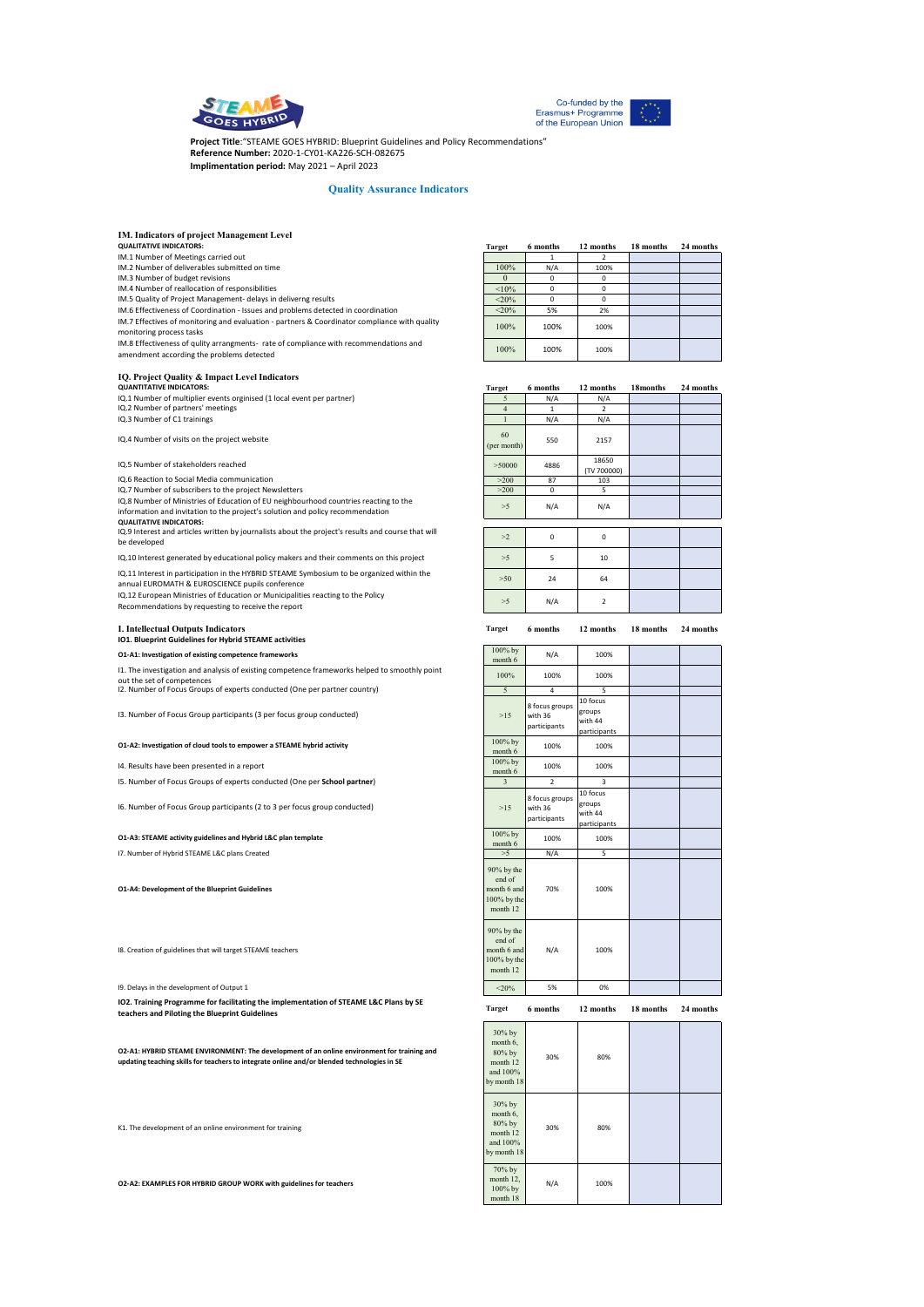



**Project Title**:"STEAME GOES HYBRID: Blueprint Guidelines and Policy Recommendations" **Reference Number:** 2020-1-CY01-KA226-SCH-082675 **Implimentation period:** May 2021 – April 2023

## **Quality Assurance Indicators**

| <b>IM. Indicators of project Management Level</b>                                                                                                                                                                               |                                                                     |                                           |                                               |           |           |
|---------------------------------------------------------------------------------------------------------------------------------------------------------------------------------------------------------------------------------|---------------------------------------------------------------------|-------------------------------------------|-----------------------------------------------|-----------|-----------|
| <b>QUALITATIVE INDICATORS:</b><br>IM.1 Number of Meetings carried out                                                                                                                                                           | <b>Target</b>                                                       | 6 months<br>1                             | 12 months<br>2                                | 18 months | 24 months |
| IM.2 Number of deliverables submitted on time                                                                                                                                                                                   | 100%                                                                | N/A                                       | 100%                                          |           |           |
| IM.3 Number of budget revisions<br>IM.4 Number of reallocation of responsibilities                                                                                                                                              | $\boldsymbol{0}$<br><10%                                            | 0<br>0                                    | 0<br>$\mathbf 0$                              |           |           |
| IM.5 Quality of Project Management- delays in deliverng results                                                                                                                                                                 | $<$ 20%                                                             | 0                                         | 0                                             |           |           |
| IM.6 Effectiveness of Coordination - Issues and problems detected in coordination<br>IM.7 Effectives of monitoring and evaluation - partners & Coordinator compliance with quality                                              | $<$ 20%                                                             | 5%                                        | 2%                                            |           |           |
| monitoring process tasks                                                                                                                                                                                                        | 100%                                                                | 100%                                      | 100%                                          |           |           |
| IM.8 Effectiveness of qulity arrangments- rate of compliance with recommendations and<br>amendment according the problems detected                                                                                              | 100%                                                                | 100%                                      | 100%                                          |           |           |
| IQ. Project Quality & Impact Level Indicators                                                                                                                                                                                   |                                                                     |                                           |                                               |           |           |
| <b>QUANTITATIVE INDICATORS:</b>                                                                                                                                                                                                 | <b>Target</b>                                                       | 6 months                                  | 12 months                                     | 18months  | 24 months |
| IQ.1 Number of multiplier events orginised (1 local event per partner)                                                                                                                                                          | 5                                                                   | N/A                                       | N/A                                           |           |           |
| IQ.2 Number of partners' meetings<br>IQ.3 Number of C1 trainings                                                                                                                                                                | $\overline{4}$<br>$\mathbf{1}$                                      | $\mathbf{1}$<br>N/A                       | 2<br>N/A                                      |           |           |
|                                                                                                                                                                                                                                 | 60                                                                  |                                           |                                               |           |           |
| IQ.4 Number of visits on the project website                                                                                                                                                                                    | (per month)                                                         | 550                                       | 2157                                          |           |           |
| IQ.5 Number of stakeholders reached                                                                                                                                                                                             | > 50000                                                             | 4886                                      | 18650<br>(TV 700000)                          |           |           |
| IQ.6 Reaction to Social Media communication                                                                                                                                                                                     | >200                                                                | 87                                        | 103                                           |           |           |
| IQ.7 Number of subscribers to the project Newsletters<br>IQ.8 Number of Ministries of Education of EU neighbourhood countries reacting to the<br>information and invitation to the project's solution and policy recommendation | >200<br>>5                                                          | 0<br>N/A                                  | 5<br>N/A                                      |           |           |
| <b>QUALITATIVE INDICATORS:</b>                                                                                                                                                                                                  |                                                                     |                                           |                                               |           |           |
| IQ.9 Interest and articles written by journalists about the project's results and course that will<br>be developed                                                                                                              | >2                                                                  | 0                                         | $\mathbf 0$                                   |           |           |
| IQ.10 Interest generated by educational policy makers and their comments on this project                                                                                                                                        | >5                                                                  | 5                                         | 10                                            |           |           |
| IQ.11 Interest in participation in the HYBRID STEAME Symbosium to be organized within the<br>annual EUROMATH & EUROSCIENCE pupils conference                                                                                    | >50                                                                 | 24                                        | 64                                            |           |           |
| IQ.12 European Ministries of Education or Municipalities reacting to the Policy<br>Recommendations by requesting to receive the report                                                                                          | >5                                                                  | N/A                                       | $\overline{2}$                                |           |           |
| <b>I. Intellectual Outputs Indicators</b><br>IO1. Blueprint Guidelines for Hybrid STEAME activities                                                                                                                             | <b>Target</b>                                                       | 6 months                                  | 12 months                                     | 18 months | 24 months |
| O1-A1: Investigation of existing competence frameworks                                                                                                                                                                          | 100% by<br>month 6                                                  | N/A                                       | 100%                                          |           |           |
| 11. The investigation and analysis of existing competence frameworks helped to smoothly point                                                                                                                                   | 100%                                                                | 100%                                      | 100%                                          |           |           |
| out the set of competences<br>I2. Number of Focus Groups of experts conducted (One per partner country)                                                                                                                         | 5                                                                   | 4                                         | 5                                             |           |           |
|                                                                                                                                                                                                                                 |                                                                     | 8 focus groups                            | 10 focus                                      |           |           |
| 13. Number of Focus Group participants (3 per focus group conducted)                                                                                                                                                            | >15                                                                 | with 36<br>participants                   | groups<br>with 44<br>participants             |           |           |
| O1-A2: Investigation of cloud tools to empower a STEAME hybrid activity                                                                                                                                                         | 100% by<br>month 6                                                  | 100%                                      | 100%                                          |           |           |
| 14. Results have been presented in a report                                                                                                                                                                                     | 100% by<br>month 6                                                  | 100%                                      | 100%                                          |           |           |
| 15. Number of Focus Groups of experts conducted (One per School partner)                                                                                                                                                        | 3                                                                   | $\overline{2}$                            | 3                                             |           |           |
| 16. Number of Focus Group participants (2 to 3 per focus group conducted)                                                                                                                                                       | >15                                                                 | 8 focus groups<br>with 36<br>participants | 10 focus<br>groups<br>with 44<br>participants |           |           |
| O1-A3: STEAME activity guidelines and Hybrid L&C plan template                                                                                                                                                                  | 100% by<br>month 6                                                  | 100%                                      | 100%                                          |           |           |
| 17. Number of Hybrid STEAME L&C plans Created                                                                                                                                                                                   | >5                                                                  | N/A                                       | 5                                             |           |           |
| <b>O1-A4: Development of the Blueprint Guidelines</b>                                                                                                                                                                           | 90% by the<br>end of<br>month 6 and<br>100% by the<br>month 12      | 70%                                       | 100%                                          |           |           |
| I8. Creation of guidelines that will target STEAME teachers                                                                                                                                                                     | 90% by the<br>end of<br>month 6 and<br>100% by the<br>month 12      | N/A                                       | 100%                                          |           |           |
| 19. Delays in the development of Output 1                                                                                                                                                                                       | $<$ 20%                                                             | 5%                                        | 0%                                            |           |           |
| IO2. Training Programme for facilitating the implementation of STEAME L&C Plans by SE<br>teachers and Piloting the Blueprint Guidelines                                                                                         | <b>Target</b>                                                       | 6 months                                  | 12 months                                     | 18 months | 24 months |
| O2-A1: HYBRID STEAME ENVIRONMENT: The development of an online environment for training and<br>updating teaching skills for teachers to integrate online and/or blended technologies in SE                                      | 30% by<br>month 6,<br>80% by<br>month 12<br>and 100%<br>by month 18 | 30%                                       | 80%                                           |           |           |
| K1. The development of an online environment for training                                                                                                                                                                       | 30% by<br>month 6,<br>80% by<br>month 12<br>and 100%<br>y month 18  | 30%                                       | 80%                                           |           |           |

70% by month 12, 100% by month 18

N/A 100%

**O2-A2: EXAMPLES FOR HYBRID GROUP WORK with guidelines for teachers**